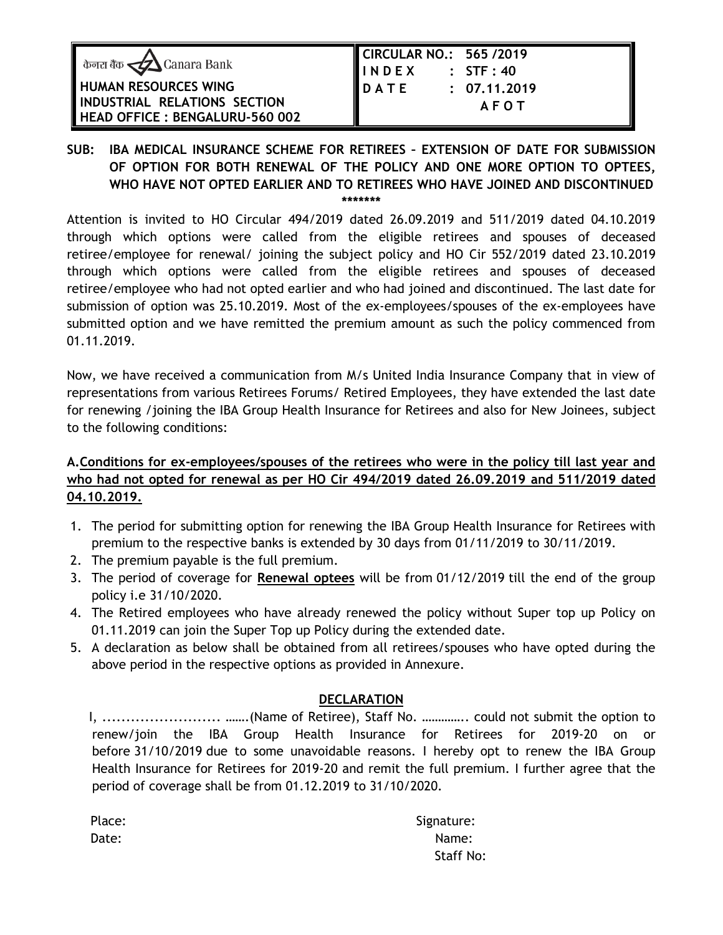|                                             | CIRCULAR NO.: 565 /2019                |              |
|---------------------------------------------|----------------------------------------|--------------|
| केनरा बैंक $\blacktriangleleft$ Canara Bank | $\parallel \parallel$ INDEX : STF : 40 |              |
| <b>HUMAN RESOURCES WING</b>                 | <b>DATE</b>                            | : 07.11.2019 |
| INDUSTRIAL RELATIONS SECTION                |                                        | <b>AFOT</b>  |
| HEAD OFFICE : BENGALURU-560 002             |                                        |              |

#### **SUB: IBA MEDICAL INSURANCE SCHEME FOR RETIREES – EXTENSION OF DATE FOR SUBMISSION OF OPTION FOR BOTH RENEWAL OF THE POLICY AND ONE MORE OPTION TO OPTEES, WHO HAVE NOT OPTED EARLIER AND TO RETIREES WHO HAVE JOINED AND DISCONTINUED \*\*\*\*\*\*\***

Attention is invited to HO Circular 494/2019 dated 26.09.2019 and 511/2019 dated 04.10.2019 through which options were called from the eligible retirees and spouses of deceased retiree/employee for renewal/ joining the subject policy and HO Cir 552/2019 dated 23.10.2019 through which options were called from the eligible retirees and spouses of deceased retiree/employee who had not opted earlier and who had joined and discontinued. The last date for submission of option was 25.10.2019. Most of the ex-employees/spouses of the ex-employees have submitted option and we have remitted the premium amount as such the policy commenced from 01.11.2019.

Now, we have received a communication from M/s United India Insurance Company that in view of representations from various Retirees Forums/ Retired Employees, they have extended the last date for renewing /joining the IBA Group Health Insurance for Retirees and also for New Joinees, subject to the following conditions:

# **A.Conditions for ex-employees/spouses of the retirees who were in the policy till last year and who had not opted for renewal as per HO Cir 494/2019 dated 26.09.2019 and 511/2019 dated 04.10.2019.**

- 1. The period for submitting option for renewing the IBA Group Health Insurance for Retirees with premium to the respective banks is extended by 30 days from 01/11/2019 to 30/11/2019.
- 2. The premium payable is the full premium.
- 3. The period of coverage for **Renewal optees** will be from 01/12/2019 till the end of the group policy i.e 31/10/2020.
- 4. The Retired employees who have already renewed the policy without Super top up Policy on 01.11.2019 can join the Super Top up Policy during the extended date.
- 5. A declaration as below shall be obtained from all retirees/spouses who have opted during the above period in the respective options as provided in Annexure.

## **DECLARATION**

 I, ......................... …….(Name of Retiree), Staff No. ………….. could not submit the option to renew/join the IBA Group Health Insurance for Retirees for 2019-20 on or before 31/10/2019 due to some unavoidable reasons. I hereby opt to renew the IBA Group Health Insurance for Retirees for 2019-20 and remit the full premium. I further agree that the period of coverage shall be from 01.12.2019 to 31/10/2020.

| Place: |  |
|--------|--|
| Date:  |  |

**Signature:** Date: Name: Name: Name: Name: Name: Name: Name: Name: Name: Name: Name: Name: Name: Name: Name: Name: Name: Name: Name: Name: Name: Name: Name: Name: Name: Name: Name: Name: Name: Name: Name: Name: Name: Name: Name: Name: Staff No: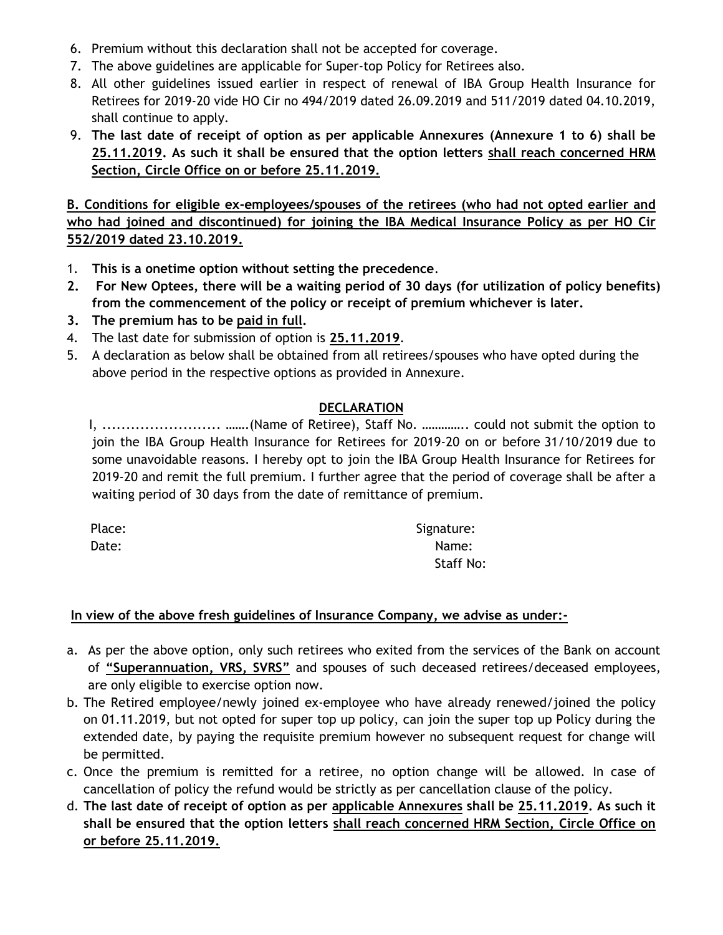- 6. Premium without this declaration shall not be accepted for coverage.
- 7. The above guidelines are applicable for Super-top Policy for Retirees also.
- 8. All other guidelines issued earlier in respect of renewal of IBA Group Health Insurance for Retirees for 2019-20 vide HO Cir no 494/2019 dated 26.09.2019 and 511/2019 dated 04.10.2019, shall continue to apply.
- 9. **The last date of receipt of option as per applicable Annexures (Annexure 1 to 6) shall be 25.11.2019. As such it shall be ensured that the option letters shall reach concerned HRM Section, Circle Office on or before 25.11.2019.**

**B. Conditions for eligible ex-employees/spouses of the retirees (who had not opted earlier and who had joined and discontinued) for joining the IBA Medical Insurance Policy as per HO Cir 552/2019 dated 23.10.2019.** 

- 1. **This is a onetime option without setting the precedence**.
- **2. For New Optees, there will be a waiting period of 30 days (for utilization of policy benefits) from the commencement of the policy or receipt of premium whichever is later.**
- **3. The premium has to be paid in full.**
- 4. The last date for submission of option is **25.11.2019**.
- 5. A declaration as below shall be obtained from all retirees/spouses who have opted during the above period in the respective options as provided in Annexure.

## **DECLARATION**

 I, ......................... …….(Name of Retiree), Staff No. ………….. could not submit the option to join the IBA Group Health Insurance for Retirees for 2019-20 on or before 31/10/2019 due to some unavoidable reasons. I hereby opt to join the IBA Group Health Insurance for Retirees for 2019-20 and remit the full premium. I further agree that the period of coverage shall be after a waiting period of 30 days from the date of remittance of premium.

| Place: | Signature: |
|--------|------------|
| Date:  | Name:      |
|        | Staff No:  |

## **In view of the above fresh guidelines of Insurance Company, we advise as under:-**

- a. As per the above option, only such retirees who exited from the services of the Bank on account of **"Superannuation, VRS, SVRS"** and spouses of such deceased retirees/deceased employees, are only eligible to exercise option now.
- b. The Retired employee/newly joined ex-employee who have already renewed/joined the policy on 01.11.2019, but not opted for super top up policy, can join the super top up Policy during the extended date, by paying the requisite premium however no subsequent request for change will be permitted.
- c. Once the premium is remitted for a retiree, no option change will be allowed. In case of cancellation of policy the refund would be strictly as per cancellation clause of the policy.
- d. **The last date of receipt of option as per applicable Annexures shall be 25.11.2019. As such it shall be ensured that the option letters shall reach concerned HRM Section, Circle Office on or before 25.11.2019.**